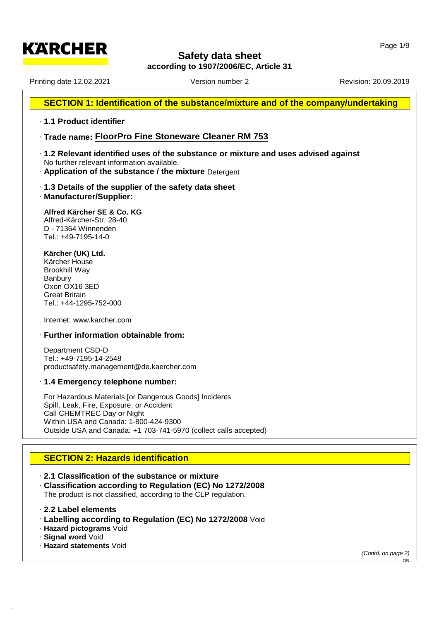**according to 1907/2006/EC, Article 31**

Printing date 12.02.2021 **Version number 2** Revision: 20.09.2019 Revision: 20.09.2019

**KARCHER** 

## **SECTION 1: Identification of the substance/mixture and of the company/undertaking**

#### · **1.1 Product identifier**

- · **Trade name: FloorPro Fine Stoneware Cleaner RM 753**
- · **1.2 Relevant identified uses of the substance or mixture and uses advised against** No further relevant information available.
- · **Application of the substance / the mixture** Detergent
- · **1.3 Details of the supplier of the safety data sheet**
- · **Manufacturer/Supplier:**

#### **Alfred Kärcher SE & Co. KG** Alfred-Kärcher-Str. 28-40

D - 71364 Winnenden Tel.: +49-7195-14-0

#### **Kärcher (UK) Ltd.**

Kärcher House Brookhill Way Banbury Oxon OX16 3ED Great Britain Tel.: +44-1295-752-000

Internet: [www.karcher.com](http://www.karcher.com)

#### · **Further information obtainable from:**

Department CSD-D Tel.: +49-7195-14-2548 productsafety.management@de.kaercher.com

#### · **1.4 Emergency telephone number:**

For Hazardous Materials [or Dangerous Goods] Incidents Spill, Leak, Fire, Exposure, or Accident Call CHEMTREC Day or Night Within USA and Canada: 1-800-424-9300 Outside USA and Canada: +1 703-741-5970 (collect calls accepted)

## **SECTION 2:Hazards identification**

· **2.1 Classification of the substance or mixture**

· **Classification according to Regulation (EC) No 1272/2008** The product is not classified, according to the CLP regulation.

· **2.2 Label elements**

- · **Labelling according to Regulation (EC) No 1272/2008** Void
- · **Hazard pictograms** Void
- · **Signal word** Void

52.0.1.1

· **Hazard statements** Void

*(Contd. on page 2)*

GB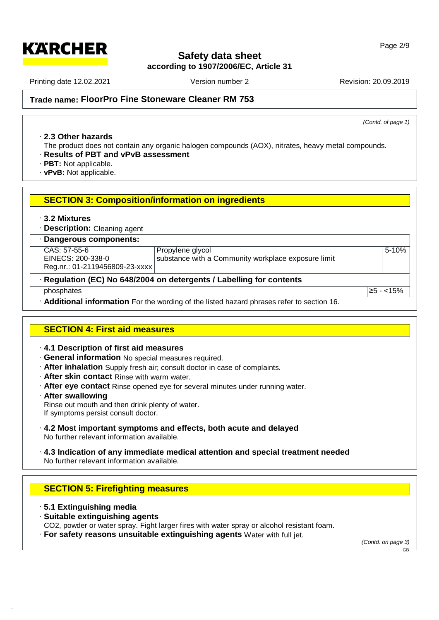**according to 1907/2006/EC, Article 31**

Printing date 12.02.2021 **Version number 2** Revision: 20.09.2019 Revision: 20.09.2019

*(Contd. of page 1)*

**Trade name: FloorPro Fine Stoneware Cleaner RM 753**

#### · **2.3 Other hazards**

The product does not contain any organic halogen compounds (AOX), nitrates, heavy metal compounds.

- · **Results of PBT and vPvB assessment**
- · **PBT:** Not applicable.
- · **vPvB:** Not applicable.

## **SECTION 3:Composition/information on ingredients**

· **3.2 Mixtures**

· **Description:** Cleaning agent

| · Dangerous components:                                                    |                                                     |                      |  |  |  |
|----------------------------------------------------------------------------|-----------------------------------------------------|----------------------|--|--|--|
| $CAS: 57-55-6$                                                             | Propylene glycol                                    | $5 - 10%$            |  |  |  |
| EINECS: 200-338-0                                                          | substance with a Community workplace exposure limit |                      |  |  |  |
| Reg.nr.: 01-2119456809-23-xxxx                                             |                                                     |                      |  |  |  |
| $\cdot$ Regulation (EC) No 648/2004 on detergents / Labelling for contents |                                                     |                      |  |  |  |
| phosphates                                                                 |                                                     | <u> ≥5 - &lt;15%</u> |  |  |  |

· **Additional information** For the wording of the listed hazard phrases refer to section 16.

## **SECTION 4:First aid measures**

- · **4.1 Description of first aid measures**
- · **General information** No special measures required.
- · **After inhalation** Supply fresh air; consult doctor in case of complaints.
- · **After skin contact** Rinse with warm water.
- · **After eye contact** Rinse opened eye for several minutes under running water.
- · **After swallowing** Rinse out mouth and then drink plenty of water.
- If symptoms persist consult doctor.
- · **4.2 Most important symptoms and effects, both acute and delayed** No further relevant information available.
- · **4.3 Indication of any immediate medical attention and special treatment needed** No further relevant information available.

## **SECTION 5:Firefighting measures**

· **5.1 Extinguishing media**

52.0.1.1

- · **Suitable extinguishing agents**
- CO2, powder or water spray. Fight larger fires with water spray or alcohol resistant foam.
- · **For safety reasons unsuitable extinguishing agents** Water with full jet.

*(Contd. on page 3)* GB

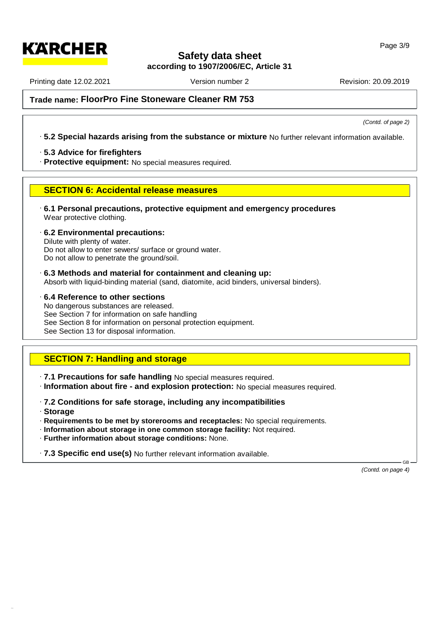**according to 1907/2006/EC, Article 31**

Printing date 12.02.2021 **Version number 2** Revision: 20.09.2019 Revision: 20.09.2019

**KARCHER** 

*(Contd. of page 2)*

**Trade name: FloorPro Fine Stoneware Cleaner RM 753**

## · **5.2 Special hazards arising from the substance or mixture** No further relevant information available.

· **5.3 Advice for firefighters**

· **Protective equipment:** No special measures required.

## **SECTION 6:Accidental release measures**

· **6.1 Personal precautions, protective equipment and emergency procedures** Wear protective clothing.

· **6.2 Environmental precautions:** Dilute with plenty of water. Do not allow to enter sewers/ surface or ground water. Do not allow to penetrate the ground/soil.

· **6.3 Methods and material for containment and cleaning up:** Absorb with liquid-binding material (sand, diatomite, acid binders, universal binders).

· **6.4 Reference to other sections** No dangerous substances are released. See Section 7 for information on safe handling See Section 8 for information on personal protection equipment. See Section 13 for disposal information.

## **SECTION 7: Handling and storage**

· **7.1 Precautions for safe handling** No special measures required.

· **Information about fire - and explosion protection:** No special measures required.

- · **7.2 Conditions for safe storage, including any incompatibilities**
- · **Storage**

52.0.1.1

- · **Requirements to be met by storerooms and receptacles:** No special requirements.
- · **Information about storage in one common storage facility:** Not required.
- · **Further information about storage conditions:** None.

· **7.3 Specific end use(s)** No further relevant information available.

*(Contd. on page 4)*

 $\mathsf{GB}$  —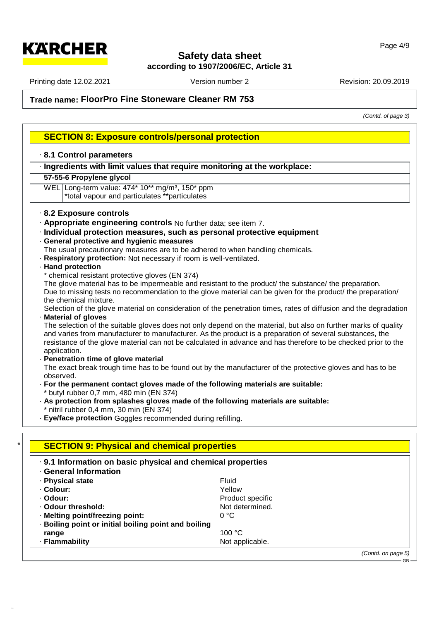**according to 1907/2006/EC, Article 31**

Printing date 12.02.2021 **Version number 2** Revision: 20.09.2019 Revision: 20.09.2019

**Trade name: FloorPro Fine Stoneware Cleaner RM 753**

*(Contd. of page 3)*

GB

## **SECTION 8:Exposure controls/personal protection**

#### · **8.1 Control parameters**

#### · **Ingredients with limit values that require monitoring at the workplace:**

#### **57-55-6 Propylene glycol**

WEL Long-term value: 474\* 10\*\* mg/m<sup>3</sup>, 150\* ppm \*total vapour and particulates \*\*particulates

#### · **8.2 Exposure controls**

- · **Appropriate engineering controls** No further data; see item 7.
- · **Individual protection measures, such as personal protective equipment**
- · **General protective and hygienic measures**

The usual precautionary measures are to be adhered to when handling chemicals.

- · **Respiratory protection:** Not necessary if room iswell-ventilated.
- · **Hand protection**

52.0.1.1

chemical resistant protective gloves (EN 374)

The glove material has to be impermeable and resistant to the product/ the substance/ the preparation. Due to missing tests no recommendation to the glove material can be given for the product/ the preparation/ the chemical mixture.

Selection of the glove material on consideration of the penetration times, rates of diffusion and the degradation · **Material of gloves**

The selection of the suitable gloves does not only depend on the material, but also on further marks of quality and varies from manufacturer to manufacturer. As the product is a preparation of several substances, the resistance of the glove material can not be calculated in advance and has therefore to be checked prior to the application.

· **Penetration time of glove material**

The exact break trough time has to be found out by the manufacturer of the protective gloves and has to be observed.

- · **For the permanent contact gloves made of the following materials are suitable:** butyl rubber 0,7 mm, 480 min (EN 374)
- · **As protection from splashes gloves made of the following materials are suitable:** nitril rubber 0,4 mm, 30 min ( $EN$  374)
- · **Eye/face protection** Goggles recommended during refilling.

| . 9.1 Information on basic physical and chemical properties<br><b>General Information</b> |                  |  |
|-------------------------------------------------------------------------------------------|------------------|--|
| - Physical state                                                                          | <b>Fluid</b>     |  |
| · Colour:                                                                                 | Yellow           |  |
| · Odour:                                                                                  | Product specific |  |
| Odour threshold:                                                                          | Not determined.  |  |
| · Melting point/freezing point:                                                           | 0 °C             |  |
| · Boiling point or initial boiling point and boiling                                      |                  |  |
| range                                                                                     | 100 $\degree$ C  |  |
| · Flammability                                                                            | Not applicable.  |  |

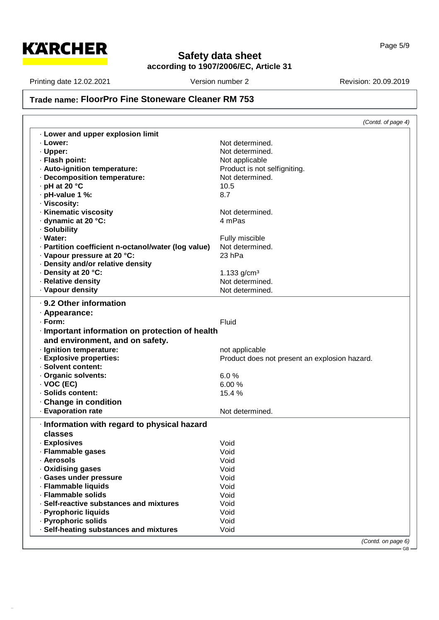

# **Safety data sheet according to 1907/2006/EC, Article 31**

GB

Printing date 12.02.2021 Version number 2 Revision: 20.09.2019

52.0.1.1

## **Trade name: FloorPro Fine Stoneware Cleaner RM 753**

|                                                     | (Contd. of page 4)                            |
|-----------------------------------------------------|-----------------------------------------------|
| . Lower and upper explosion limit                   |                                               |
| · Lower:                                            | Not determined.                               |
| · Upper:                                            | Not determined.                               |
| · Flash point:                                      | Not applicable                                |
| - Auto-ignition temperature:                        | Product is not selfigniting.                  |
| · Decomposition temperature:                        | Not determined.                               |
| $\cdot$ pH at 20 $\degree$ C                        | 10.5                                          |
| · pH-value 1 %:                                     | 8.7                                           |
| · Viscosity:                                        |                                               |
| · Kinematic viscosity                               | Not determined.                               |
| dynamic at 20 °C:                                   | 4 mPas                                        |
| · Solubility                                        |                                               |
| · Water:                                            |                                               |
|                                                     | Fully miscible<br>Not determined.             |
| · Partition coefficient n-octanol/water (log value) |                                               |
| · Vapour pressure at 20 °C:                         | 23 hPa                                        |
| Density and/or relative density                     |                                               |
| · Density at 20 °C:                                 | 1.133 $g/cm3$                                 |
| · Relative density                                  | Not determined.                               |
| · Vapour density                                    | Not determined.                               |
| . 9.2 Other information                             |                                               |
| · Appearance:                                       |                                               |
| $\cdot$ Form:                                       | Fluid                                         |
| · Important information on protection of health     |                                               |
| and environment, and on safety.                     |                                               |
| · Ignition temperature:                             | not applicable                                |
| · Explosive properties:                             | Product does not present an explosion hazard. |
| · Solvent content:                                  |                                               |
| Organic solvents:                                   | 6.0%                                          |
| $\cdot$ VOC (EC)                                    | 6.00%                                         |
| · Solids content:                                   |                                               |
|                                                     | 15.4 %                                        |
| Change in condition                                 |                                               |
| · Evaporation rate                                  | Not determined.                               |
| · Information with regard to physical hazard        |                                               |
| classes                                             |                                               |
| · Explosives                                        | Void                                          |
| · Flammable gases                                   | Void                                          |
| · Aerosols                                          | Void                                          |
| . Oxidising gases                                   | Void                                          |
| · Gases under pressure                              | Void                                          |
| · Flammable liquids                                 | Void                                          |
| · Flammable solids                                  | Void                                          |
| · Self-reactive substances and mixtures             | Void                                          |
| · Pyrophoric liquids                                | Void                                          |
| - Pyrophoric solids                                 | Void                                          |
| · Self-heating substances and mixtures              | Void                                          |
|                                                     |                                               |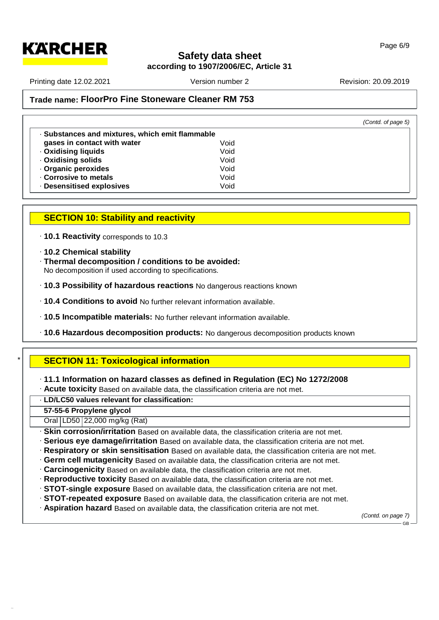

**according to 1907/2006/EC, Article 31**

Page 6/9

Printing date 12.02.2021 **Version number 2** Revision: 20.09.2019 Revision: 20.09.2019

## **Trade name: FloorPro Fine Stoneware Cleaner RM 753**

|                                                 |      | (Contd. of page 5) |
|-------------------------------------------------|------|--------------------|
| · Substances and mixtures, which emit flammable |      |                    |
| gases in contact with water                     | Void |                    |
| <b>Oxidising liquids</b>                        | Void |                    |
| . Oxidising solids                              | Void |                    |
| Organic peroxides                               | Void |                    |
| Corrosive to metals                             | Void |                    |
| · Desensitised explosives                       | Void |                    |

## **SECTION 10: Stability and reactivity**

· **10.1 Reactivity** corresponds to 10.3

- · **10.2 Chemical stability**
- · **Thermal decomposition / conditions to be avoided:** No decomposition if used according to specifications.
- · **10.3 Possibility of hazardous reactions** No dangerous reactions known
- · **10.4 Conditions to avoid** No further relevant information available.
- · **10.5 Incompatible materials:** No further relevant information available.
- · **10.6 Hazardous decomposition products:** No dangerous decomposition products known

## \* **SECTION 11: Toxicological information**

- · **11.1 Information on hazard classes as defined in Regulation (EC) No 1272/2008**
- · **Acute toxicity** Based on available data, the classification criteria are not met.

## · **LD/LC50 values relevant for classification:**

**57-55-6 Propylene glycol**

52.0.1.1

Oral LD50 22,000 mg/kg (Rat)

· **Skin corrosion/irritation** Based on available data, the classification criteria are not met.

- · **Serious eye damage/irritation** Based on available data, the classification criteria are not met.
- · **Respiratory or skin sensitisation** Based on available data, the classification criteria are not met.
- · **Germ cellmutagenicity** Based on available data, the classification criteria are not met.
- · **Carcinogenicity** Based on available data, the classification criteria are not met.
- · **Reproductive toxicity** Based on available data, the classification criteria are not met.
- · **STOT-single exposure** Based on available data, the classification criteria are not met.
- · **STOT-repeated exposure** Based on available data, the classification criteria are not met.
- · **Aspiration hazard** Based on available data, the classification criteria are not met.

*(Contd. on page 7)*

GB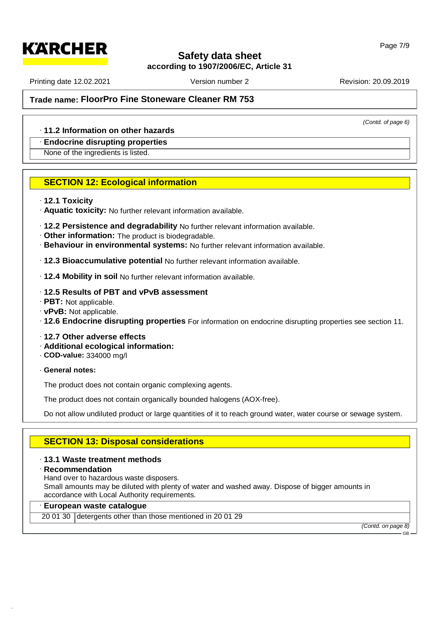## **according to 1907/2006/EC, Article 31**

Printing date 12.02.2021 **Version number 2** Revision: 20.09.2019 Revision: 20.09.2019

**KARCHER** 

*(Contd. of page 6)*

## **Trade name: FloorPro Fine Stoneware Cleaner RM 753**

#### · **11.2 Information on other hazards**

#### · **Endocrine disrupting properties**

None of the ingredients is listed.

## **SECTION 12: Ecological information**

#### · **12.1 Toxicity**

- · **Aquatic toxicity:** No further relevant information available.
- · **12.2 Persistence and degradability** No further relevant information available.
- · **Other information:** The product is biodegradable.
- · **Behaviour in environmental systems:** No further relevant information available.
- · **12.3 Bioaccumulative potential** No further relevant information available.
- · **12.4 Mobility in soil** No further relevant information available.

#### · **12.5 Results of PBT and vPvB assessment**

- · **PBT:** Not applicable.
- · **vPvB:** Not applicable.
- · **12.6 Endocrine disrupting properties** For information on endocrine disrupting properties see section 11.
- · **12.7 Other adverse effects**
- · **Additional ecological information:**
- · **COD-value:** 334000 mg/l
- · **General notes:**

The product does not contain organic complexing agents.

The product does not contain organically bounded halogens (AOX-free).

Do not allow undiluted product or large quantities of it to reach ground water, water course or sewage system.

## **SECTION 13: Disposal considerations**

#### · **13.1 Waste treatment methods**

#### · **Recommendation**

52.0.1.1

Hand over to hazardous waste disposers.

Small amounts may be diluted with plenty of water and washed away. Dispose of bigger amounts in accordance with Local Authority requirements.

#### · **European waste catalogue**

20 01 30 detergents other than those mentioned in 20 01 29

*(Contd. on page 8)*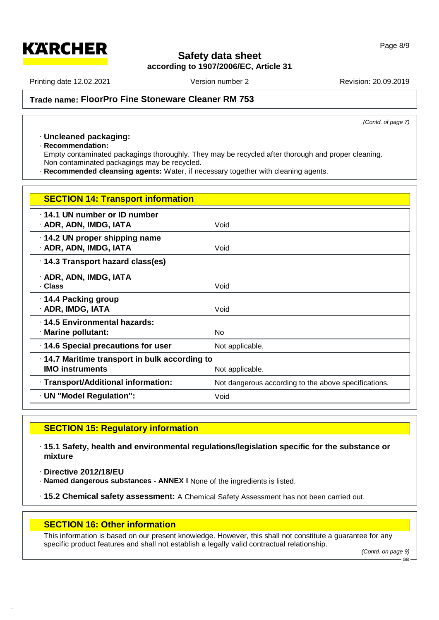**according to 1907/2006/EC, Article 31**

Printing date 12.02.2021 **Version number 2** Revision: 20.09.2019 Revision: 20.09.2019

**KARCHER** 

**Trade name: FloorPro Fine Stoneware Cleaner RM 753**

*(Contd. of page 7)*

## · **Uncleaned packaging:**

· **Recommendation:**

Empty contaminated packagings thoroughly. They may be recycled after thorough and proper cleaning. Non contaminated packagings may be recycled.

· **Recommended cleansing agents:** Water, if necessary together with cleaning agents.

| <b>SECTION 14: Transport information</b>                                                  |                                                      |
|-------------------------------------------------------------------------------------------|------------------------------------------------------|
| 14.1 UN number or ID number<br>· ADR, ADN, IMDG, IATA                                     | Void                                                 |
| 14.2 UN proper shipping name<br>· ADR, ADN, IMDG, IATA                                    | Void                                                 |
| · 14.3 Transport hazard class(es)                                                         |                                                      |
| · ADR, ADN, IMDG, IATA<br>. Class                                                         | Void                                                 |
| ⋅ 14.4 Packing group<br>· ADR, IMDG, IATA                                                 | Void                                                 |
| 14.5 Environmental hazards:<br>· Marine pollutant:                                        | <b>No</b>                                            |
| 14.6 Special precautions for user                                                         | Not applicable.                                      |
| 14.7 Maritime transport in bulk according to<br><b>IMO instruments</b><br>Not applicable. |                                                      |
| · Transport/Additional information:                                                       | Not dangerous according to the above specifications. |
| · UN "Model Regulation":                                                                  | Void                                                 |

## **SECTION 15: Regulatory information**

· **15.1 Safety, health and environmental regulations/legislation specific for the substance or mixture**

· **Directive 2012/18/EU**

52.0.1.1

· **Named dangerous substances - ANNEX I** None of the ingredients is listed.

· **15.2 Chemical safety assessment:** A Chemical Safety Assessment has not been carried out.

#### **SECTION 16: Other information**

This information is based on our present knowledge. However, this shall not constitute a guarantee for any specific product features and shall not establish a legally valid contractual relationship.

GB